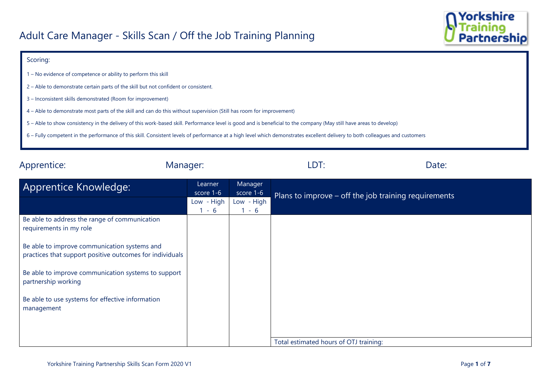

## Scoring:

- 1 No evidence of competence or ability to perform this skill
- 2 Able to demonstrate certain parts of the skill but not confident or consistent.
- 3 Inconsistent skills demonstrated (Room for improvement)
- 4 Able to demonstrate most parts of the skill and can do this without supervision (Still has room for improvement)
- 5 Able to show consistency in the delivery of this work-based skill. Performance level is good and is beneficial to the company (May still have areas to develop)
- 6 Fully competent in the performance of this skill. Consistent levels of performance at a high level which demonstrates excellent delivery to both colleagues and customers

| Apprentice:<br>Manager:                                                                                  |                      | LDT:                  | Date:                                                |  |
|----------------------------------------------------------------------------------------------------------|----------------------|-----------------------|------------------------------------------------------|--|
| Apprentice Knowledge:                                                                                    | Learner<br>score 1-6 | Manager<br>score 1-6  | Plans to improve – off the job training requirements |  |
|                                                                                                          | Low - High<br>$-6$   | Low - High<br>$1 - 6$ |                                                      |  |
| Be able to address the range of communication<br>requirements in my role                                 |                      |                       |                                                      |  |
| Be able to improve communication systems and<br>practices that support positive outcomes for individuals |                      |                       |                                                      |  |
| Be able to improve communication systems to support<br>partnership working                               |                      |                       |                                                      |  |
| Be able to use systems for effective information<br>management                                           |                      |                       |                                                      |  |
|                                                                                                          |                      |                       |                                                      |  |
|                                                                                                          |                      |                       | Total estimated hours of OTJ training:               |  |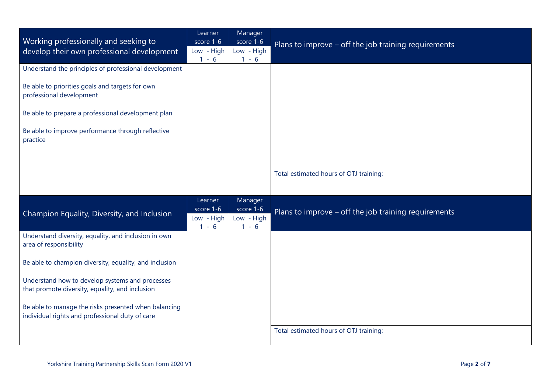|                                                                                                         | Learner                 | Manager                 |                                                      |  |
|---------------------------------------------------------------------------------------------------------|-------------------------|-------------------------|------------------------------------------------------|--|
| Working professionally and seeking to<br>develop their own professional development                     | score 1-6<br>Low - High | score 1-6<br>Low - High | Plans to improve - off the job training requirements |  |
|                                                                                                         | $1 - 6$                 | $1 - 6$                 |                                                      |  |
| Understand the principles of professional development                                                   |                         |                         |                                                      |  |
| Be able to priorities goals and targets for own<br>professional development                             |                         |                         |                                                      |  |
| Be able to prepare a professional development plan                                                      |                         |                         |                                                      |  |
| Be able to improve performance through reflective<br>practice                                           |                         |                         |                                                      |  |
|                                                                                                         |                         |                         |                                                      |  |
|                                                                                                         |                         |                         | Total estimated hours of OTJ training:               |  |
|                                                                                                         |                         |                         |                                                      |  |
|                                                                                                         | Learner<br>score 1-6    | Manager<br>score 1-6    |                                                      |  |
| Champion Equality, Diversity, and Inclusion                                                             | Low - High<br>$1 - 6$   | Low - High<br>$1 - 6$   | Plans to improve - off the job training requirements |  |
| Understand diversity, equality, and inclusion in own<br>area of responsibility                          |                         |                         |                                                      |  |
| Be able to champion diversity, equality, and inclusion                                                  |                         |                         |                                                      |  |
| Understand how to develop systems and processes<br>that promote diversity, equality, and inclusion      |                         |                         |                                                      |  |
| Be able to manage the risks presented when balancing<br>individual rights and professional duty of care |                         |                         |                                                      |  |
|                                                                                                         |                         |                         | Total estimated hours of OTJ training:               |  |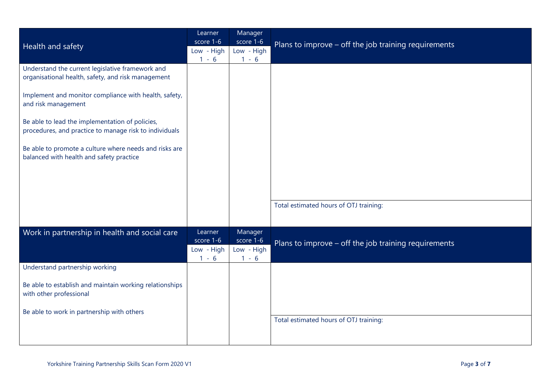|                                                                                                           | Learner                 | Manager                 |                                                      |
|-----------------------------------------------------------------------------------------------------------|-------------------------|-------------------------|------------------------------------------------------|
| Health and safety                                                                                         | score 1-6<br>Low - High | score 1-6<br>Low - High | Plans to improve - off the job training requirements |
|                                                                                                           | $1 - 6$                 | $1 - 6$                 |                                                      |
| Understand the current legislative framework and<br>organisational health, safety, and risk management    |                         |                         |                                                      |
| Implement and monitor compliance with health, safety,<br>and risk management                              |                         |                         |                                                      |
| Be able to lead the implementation of policies,<br>procedures, and practice to manage risk to individuals |                         |                         |                                                      |
| Be able to promote a culture where needs and risks are<br>balanced with health and safety practice        |                         |                         |                                                      |
|                                                                                                           |                         |                         |                                                      |
|                                                                                                           |                         |                         |                                                      |
|                                                                                                           |                         |                         | Total estimated hours of OTJ training:               |
| Work in partnership in health and social care                                                             | Learner<br>score 1-6    | Manager<br>score 1-6    | Plans to improve - off the job training requirements |
|                                                                                                           | Low - High<br>$1 - 6$   | Low - High<br>$1 - 6$   |                                                      |
| Understand partnership working                                                                            |                         |                         |                                                      |
| Be able to establish and maintain working relationships<br>with other professional                        |                         |                         |                                                      |
| Be able to work in partnership with others                                                                |                         |                         |                                                      |
|                                                                                                           |                         |                         | Total estimated hours of OTJ training:               |
|                                                                                                           |                         |                         |                                                      |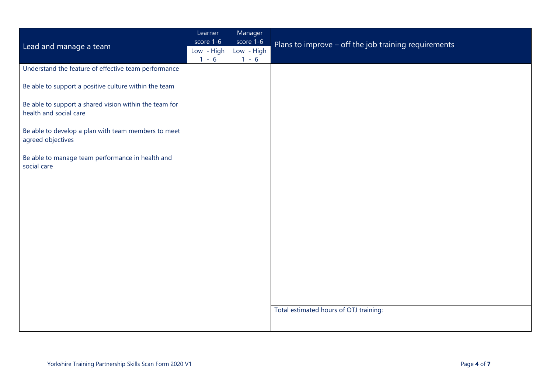| Lead and manage a team                                                           | Learner<br>score 1-6<br>Low - High<br>$1 - 6$ | Manager<br>score 1-6<br>Low - High<br>$1 - 6$ | Plans to improve - off the job training requirements |
|----------------------------------------------------------------------------------|-----------------------------------------------|-----------------------------------------------|------------------------------------------------------|
| Understand the feature of effective team performance                             |                                               |                                               |                                                      |
| Be able to support a positive culture within the team                            |                                               |                                               |                                                      |
| Be able to support a shared vision within the team for<br>health and social care |                                               |                                               |                                                      |
| Be able to develop a plan with team members to meet<br>agreed objectives         |                                               |                                               |                                                      |
| Be able to manage team performance in health and<br>social care                  |                                               |                                               |                                                      |
|                                                                                  |                                               |                                               |                                                      |
|                                                                                  |                                               |                                               |                                                      |
|                                                                                  |                                               |                                               |                                                      |
|                                                                                  |                                               |                                               |                                                      |
|                                                                                  |                                               |                                               |                                                      |
|                                                                                  |                                               |                                               |                                                      |
|                                                                                  |                                               |                                               |                                                      |
|                                                                                  |                                               |                                               | Total estimated hours of OTJ training:               |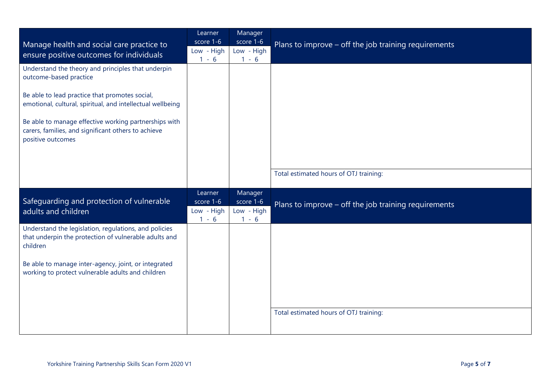|                                                                                                                                   | Learner<br>score 1-6  | Manager<br>score 1-6  |                                                      |
|-----------------------------------------------------------------------------------------------------------------------------------|-----------------------|-----------------------|------------------------------------------------------|
| Manage health and social care practice to<br>ensure positive outcomes for individuals                                             | Low - High<br>$1 - 6$ | Low - High<br>$1 - 6$ | Plans to improve - off the job training requirements |
| Understand the theory and principles that underpin<br>outcome-based practice                                                      |                       |                       |                                                      |
| Be able to lead practice that promotes social,<br>emotional, cultural, spiritual, and intellectual wellbeing                      |                       |                       |                                                      |
| Be able to manage effective working partnerships with<br>carers, families, and significant others to achieve<br>positive outcomes |                       |                       |                                                      |
|                                                                                                                                   |                       |                       |                                                      |
|                                                                                                                                   |                       |                       | Total estimated hours of OTJ training:               |
| Safeguarding and protection of vulnerable                                                                                         | Learner<br>score 1-6  | Manager<br>score 1-6  | Plans to improve - off the job training requirements |
| adults and children                                                                                                               | Low - High<br>$1 - 6$ | Low - High<br>$1 - 6$ |                                                      |
| Understand the legislation, regulations, and policies<br>that underpin the protection of vulnerable adults and<br>children        |                       |                       |                                                      |
| Be able to manage inter-agency, joint, or integrated<br>working to protect vulnerable adults and children                         |                       |                       |                                                      |
|                                                                                                                                   |                       |                       |                                                      |
|                                                                                                                                   |                       |                       | Total estimated hours of OTJ training:               |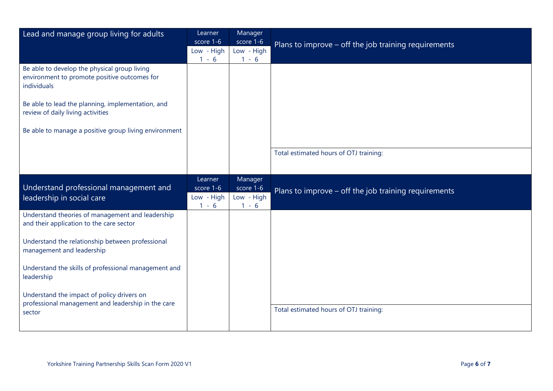| Lead and manage group living for adults                                                                     | Learner                                       | Manager                                       |                                                      |
|-------------------------------------------------------------------------------------------------------------|-----------------------------------------------|-----------------------------------------------|------------------------------------------------------|
|                                                                                                             | score 1-6<br>Low - High                       | score 1-6<br>Low - High                       | Plans to improve - off the job training requirements |
|                                                                                                             | $1 - 6$                                       | $1 - 6$                                       |                                                      |
| Be able to develop the physical group living<br>environment to promote positive outcomes for<br>individuals |                                               |                                               |                                                      |
| Be able to lead the planning, implementation, and<br>review of daily living activities                      |                                               |                                               |                                                      |
| Be able to manage a positive group living environment                                                       |                                               |                                               |                                                      |
|                                                                                                             |                                               |                                               | Total estimated hours of OTJ training:               |
| Understand professional management and<br>leadership in social care                                         | Learner<br>score 1-6<br>Low - High<br>$1 - 6$ | Manager<br>score 1-6<br>Low - High<br>$1 - 6$ | Plans to improve - off the job training requirements |
| Understand theories of management and leadership<br>and their application to the care sector                |                                               |                                               |                                                      |
| Understand the relationship between professional<br>management and leadership                               |                                               |                                               |                                                      |
| Understand the skills of professional management and<br>leadership                                          |                                               |                                               |                                                      |
| Understand the impact of policy drivers on<br>professional management and leadership in the care            |                                               |                                               |                                                      |
| sector                                                                                                      |                                               |                                               | Total estimated hours of OTJ training:               |